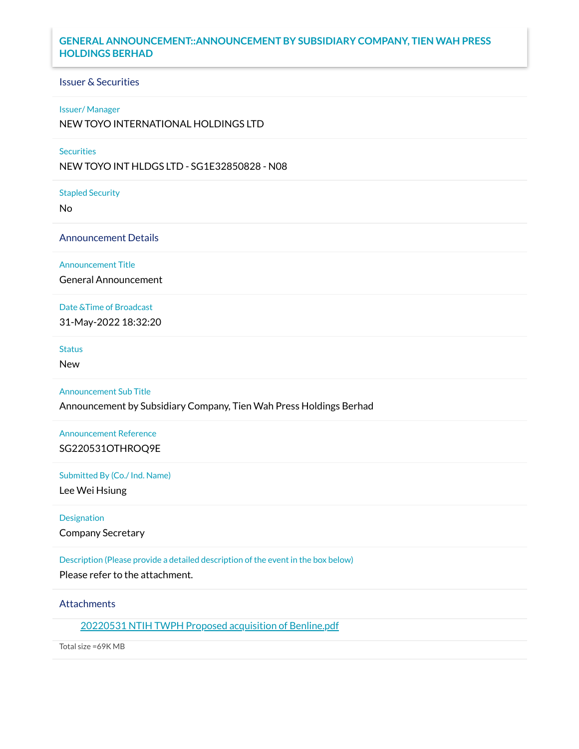# **GENERAL ANNOUNCEMENT::ANNOUNCEMENT BY SUBSIDIARY COMPANY, TIEN WAH PRESS HOLDINGS BERHAD**

### Issuer & Securities

### Issuer/ Manager

NEW TOYO INTERNATIONAL HOLDINGS LTD

# **Securities**

NEW TOYO INT HLDGS LTD - SG1E32850828 - N08

Stapled Security

No

#### Announcement Details

Announcement Title

General Announcement

# Date &Time of Broadcast

31-May-2022 18:32:20

### **Status**

New

### Announcement Sub Title

Announcement by Subsidiary Company, Tien Wah Press Holdings Berhad

# Announcement Reference SG220531OTHROQ9E

#### Submitted By (Co./ Ind. Name)

Lee Wei Hsiung

### Designation

Company Secretary

# Description (Please provide a detailed description of the event in the box below)

Please refer to the attachment.

# **Attachments**

20220531 NTIH TWPH Proposed acquisition of [Benline.pdf](https://links.sgx.com/1.0.0/corporate-announcements/0EOE47ZORY0GI8G6/719395_20220531%20NTIH%20TWPH%20Proposed%20acquisition%20of%20Benline.pdf)

Total size =69K MB